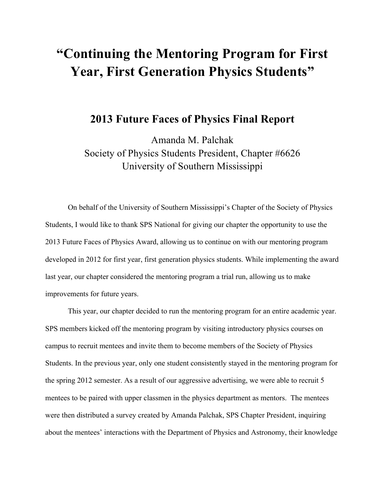## **"Continuing the Mentoring Program for First Year, First Generation Physics Students"**

## **2013 Future Faces of Physics Final Report**

Amanda M. Palchak Society of Physics Students President, Chapter #6626 University of Southern Mississippi

On behalf of the University of Southern Mississippi's Chapter of the Society of Physics Students, I would like to thank SPS National for giving our chapter the opportunity to use the 2013 Future Faces of Physics Award, allowing us to continue on with our mentoring program developed in 2012 for first year, first generation physics students. While implementing the award last year, our chapter considered the mentoring program a trial run, allowing us to make improvements for future years.

This year, our chapter decided to run the mentoring program for an entire academic year. SPS members kicked off the mentoring program by visiting introductory physics courses on campus to recruit mentees and invite them to become members of the Society of Physics Students. In the previous year, only one student consistently stayed in the mentoring program for the spring 2012 semester. As a result of our aggressive advertising, we were able to recruit 5 mentees to be paired with upper classmen in the physics department as mentors. The mentees were then distributed a survey created by Amanda Palchak, SPS Chapter President, inquiring about the mentees' interactions with the Department of Physics and Astronomy, their knowledge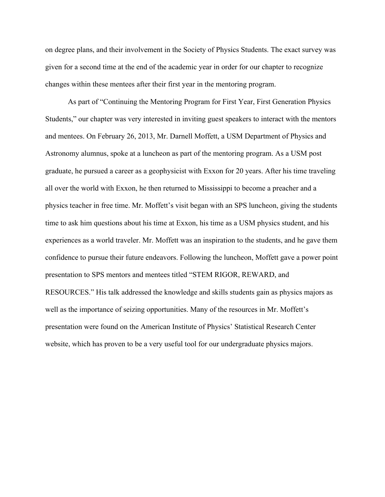on degree plans, and their involvement in the Society of Physics Students. The exact survey was given for a second time at the end of the academic year in order for our chapter to recognize changes within these mentees after their first year in the mentoring program.

As part of "Continuing the Mentoring Program for First Year, First Generation Physics Students," our chapter was very interested in inviting guest speakers to interact with the mentors and mentees. On February 26, 2013, Mr. Darnell Moffett, a USM Department of Physics and Astronomy alumnus, spoke at a luncheon as part of the mentoring program. As a USM post graduate, he pursued a career as a geophysicist with Exxon for 20 years. After his time traveling all over the world with Exxon, he then returned to Mississippi to become a preacher and a physics teacher in free time. Mr. Moffett's visit began with an SPS luncheon, giving the students time to ask him questions about his time at Exxon, his time as a USM physics student, and his experiences as a world traveler. Mr. Moffett was an inspiration to the students, and he gave them confidence to pursue their future endeavors. Following the luncheon, Moffett gave a power point presentation to SPS mentors and mentees titled "STEM RIGOR, REWARD, and RESOURCES." His talk addressed the knowledge and skills students gain as physics majors as well as the importance of seizing opportunities. Many of the resources in Mr. Moffett's presentation were found on the American Institute of Physics' Statistical Research Center website, which has proven to be a very useful tool for our undergraduate physics majors.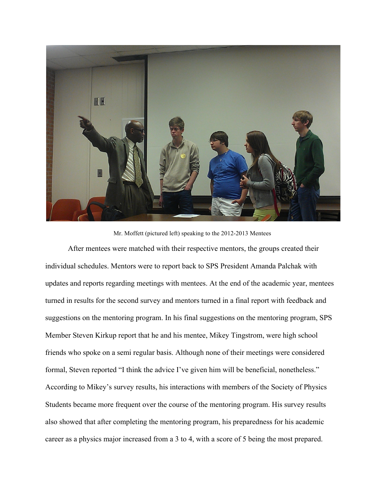

Mr. Moffett (pictured left) speaking to the 2012-2013 Mentees

After mentees were matched with their respective mentors, the groups created their individual schedules. Mentors were to report back to SPS President Amanda Palchak with updates and reports regarding meetings with mentees. At the end of the academic year, mentees turned in results for the second survey and mentors turned in a final report with feedback and suggestions on the mentoring program. In his final suggestions on the mentoring program, SPS Member Steven Kirkup report that he and his mentee, Mikey Tingstrom, were high school friends who spoke on a semi regular basis. Although none of their meetings were considered formal, Steven reported "I think the advice I've given him will be beneficial, nonetheless." According to Mikey's survey results, his interactions with members of the Society of Physics Students became more frequent over the course of the mentoring program. His survey results also showed that after completing the mentoring program, his preparedness for his academic career as a physics major increased from a 3 to 4, with a score of 5 being the most prepared.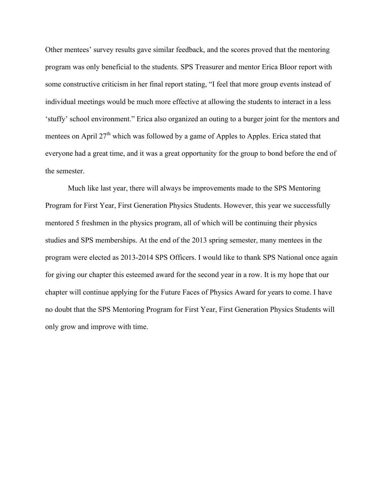Other mentees' survey results gave similar feedback, and the scores proved that the mentoring program was only beneficial to the students. SPS Treasurer and mentor Erica Bloor report with some constructive criticism in her final report stating, "I feel that more group events instead of individual meetings would be much more effective at allowing the students to interact in a less 'stuffy' school environment." Erica also organized an outing to a burger joint for the mentors and mentees on April  $27<sup>th</sup>$  which was followed by a game of Apples to Apples. Erica stated that everyone had a great time, and it was a great opportunity for the group to bond before the end of the semester.

Much like last year, there will always be improvements made to the SPS Mentoring Program for First Year, First Generation Physics Students. However, this year we successfully mentored 5 freshmen in the physics program, all of which will be continuing their physics studies and SPS memberships. At the end of the 2013 spring semester, many mentees in the program were elected as 2013-2014 SPS Officers. I would like to thank SPS National once again for giving our chapter this esteemed award for the second year in a row. It is my hope that our chapter will continue applying for the Future Faces of Physics Award for years to come. I have no doubt that the SPS Mentoring Program for First Year, First Generation Physics Students will only grow and improve with time.